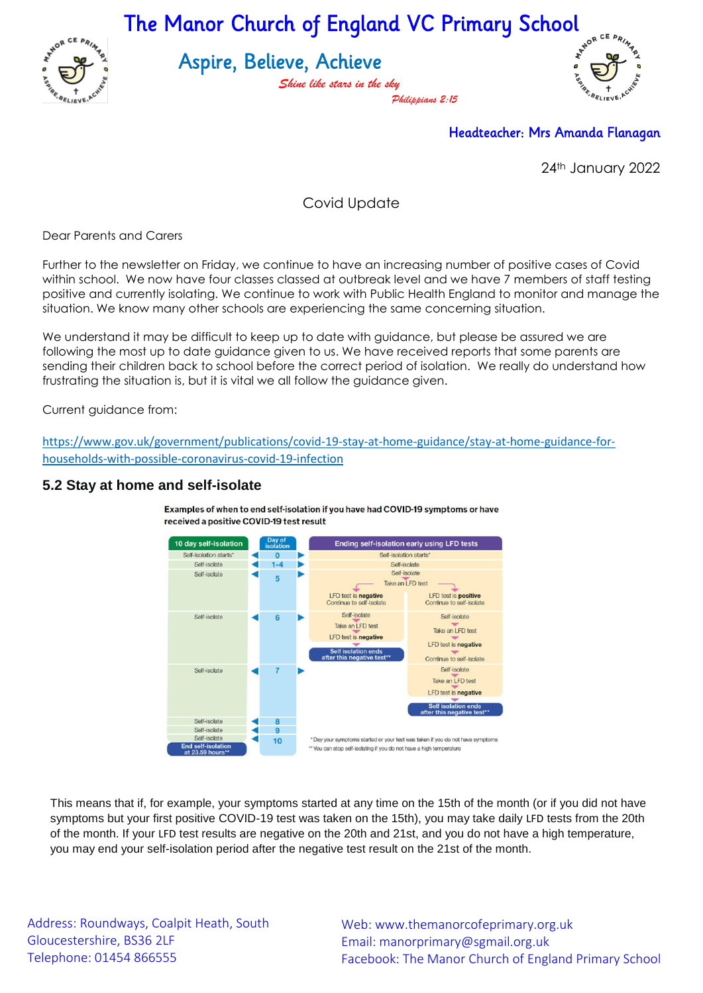

The Manor Church of England VC Primary School

Aspire, Believe, Achieve

*Shine like stars in the sky Philippians 2:15*



Headteacher: Mrs Amanda Flanagan

24th January 2022

Covid Update

Dear Parents and Carers

Further to the newsletter on Friday, we continue to have an increasing number of positive cases of Covid within school. We now have four classes classed at outbreak level and we have 7 members of staff testing positive and currently isolating. We continue to work with Public Health England to monitor and manage the situation. We know many other schools are experiencing the same concerning situation.

We understand it may be difficult to keep up to date with guidance, but please be assured we are following the most up to date guidance given to us. We have received reports that some parents are sending their children back to school before the correct period of isolation. We really do understand how frustrating the situation is, but it is vital we all follow the guidance given.

Current guidance from:

[https://www.gov.uk/government/publications/covid-19-stay-at-home-guidance/stay-at-home-guidance-for](https://www.gov.uk/government/publications/covid-19-stay-at-home-guidance/stay-at-home-guidance-for-households-with-possible-coronavirus-covid-19-infection)[households-with-possible-coronavirus-covid-19-infection](https://www.gov.uk/government/publications/covid-19-stay-at-home-guidance/stay-at-home-guidance-for-households-with-possible-coronavirus-covid-19-infection)

## **5.2 Stay at home and self-isolate**



Examples of when to end self-isolation if you have had COVID-19 symptoms or have received a positive COVID-19 test result

This means that if, for example, your symptoms started at any time on the 15th of the month (or if you did not have symptoms but your first positive COVID-19 test was taken on the 15th), you may take daily LFD tests from the 20th of the month. If your LFD test results are negative on the 20th and 21st, and you do not have a high temperature, you may end your self-isolation period after the negative test result on the 21st of the month.

Address: Roundways, Coalpit Heath, South Gloucestershire, BS36 2LF Telephone: 01454 866555

Web: www.themanorcofeprimary.org.uk Email: manorprimary@sgmail.org.uk Facebook: The Manor Church of England Primary School